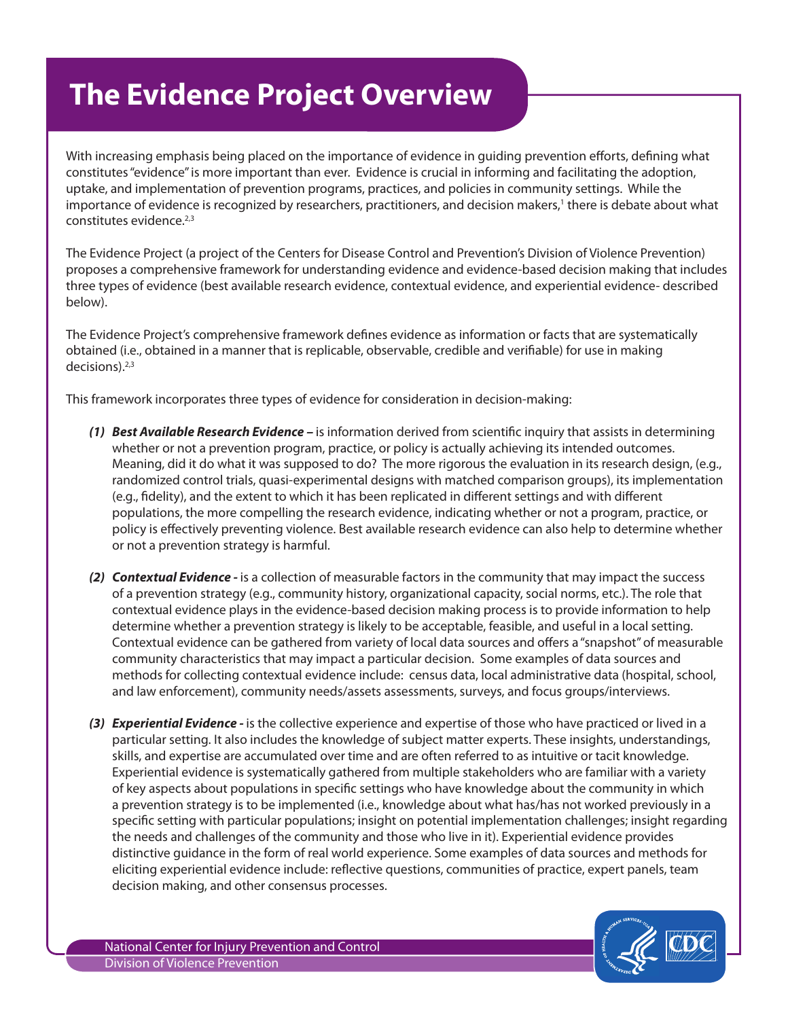## **The Evidence Project Overview**

With increasing emphasis being placed on the importance of evidence in guiding prevention efforts, defining what constitutes "evidence" is more important than ever. Evidence is crucial in informing and facilitating the adoption, uptake, and implementation of prevention programs, practices, and policies in community settings. While the importance of evidence is recognized by researchers, practitioners, and decision makers,<sup>1</sup> there is debate about what constitutes evidence.<sup>2,3</sup>

The Evidence Project (a project of the Centers for Disease Control and Prevention's Division of Violence Prevention) proposes a comprehensive framework for understanding evidence and evidence-based decision making that includes three types of evidence (best available research evidence, contextual evidence, and experiential evidence- described below).

The Evidence Project's comprehensive framework defines evidence as information or facts that are systematically obtained (i.e., obtained in a manner that is replicable, observable, credible and verifiable) for use in making  $decisions$ ).  $2,3$ 

This framework incorporates three types of evidence for consideration in decision-making:

- *(1) Best Available Research Evidence* is information derived from scientific inquiry that assists in determining whether or not a prevention program, practice, or policy is actually achieving its intended outcomes. Meaning, did it do what it was supposed to do? The more rigorous the evaluation in its research design, (e.g., randomized control trials, quasi-experimental designs with matched comparison groups), its implementation (e.g., fidelity), and the extent to which it has been replicated in different settings and with different populations, the more compelling the research evidence, indicating whether or not a program, practice, or policy is effectively preventing violence. Best available research evidence can also help to determine whether or not a prevention strategy is harmful.
- *(2) Contextual Evidence* is a collection of measurable factors in the community that may impact the success of a prevention strategy (e.g., community history, organizational capacity, social norms, etc.). The role that contextual evidence plays in the evidence-based decision making process is to provide information to help determine whether a prevention strategy is likely to be acceptable, feasible, and useful in a local setting. Contextual evidence can be gathered from variety of local data sources and offers a "snapshot" of measurable community characteristics that may impact a particular decision. Some examples of data sources and methods for collecting contextual evidence include: census data, local administrative data (hospital, school, and law enforcement), community needs/assets assessments, surveys, and focus groups/interviews.
- *(3) Experiential Evidence* is the collective experience and expertise of those who have practiced or lived in a particular setting. It also includes the knowledge of subject matter experts. These insights, understandings, skills, and expertise are accumulated over time and are often referred to as intuitive or tacit knowledge. Experiential evidence is systematically gathered from multiple stakeholders who are familiar with a variety of key aspects about populations in specific settings who have knowledge about the community in which a prevention strategy is to be implemented (i.e., knowledge about what has/has not worked previously in a specific setting with particular populations; insight on potential implementation challenges; insight regarding the needs and challenges of the community and those who live in it). Experiential evidence provides distinctive guidance in the form of real world experience. Some examples of data sources and methods for eliciting experiential evidence include: reflective questions, communities of practice, expert panels, team decision making, and other consensus processes.